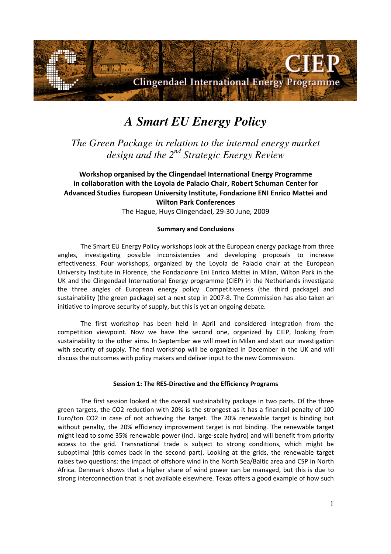

# *A Smart EU Energy Policy*

*The Green Package in relation to the internal energy market design and the 2nd Strategic Energy Review* 

## Workshop organised by the Clingendael International Energy Programme in collaboration with the Loyola de Palacio Chair, Robert Schuman Center for Advanced Studies European University Institute, Fondazione ENI Enrico Mattei and Wilton Park Conferences

The Hague, Huys Clingendael, 29-30 June, 2009

## Summary and Conclusions

The Smart EU Energy Policy workshops look at the European energy package from three angles, investigating possible inconsistencies and developing proposals to increase effectiveness. Four workshops, organized by the Loyola de Palacio chair at the European University Institute in Florence, the Fondazionre Eni Enrico Mattei in Milan, Wilton Park in the UK and the Clingendael International Energy programme (CIEP) in the Netherlands investigate the three angles of European energy policy. Competitiveness (the third package) and sustainability (the green package) set a next step in 2007-8. The Commission has also taken an initiative to improve security of supply, but this is yet an ongoing debate.

The first workshop has been held in April and considered integration from the competition viewpoint. Now we have the second one, organized by CIEP, looking from sustainability to the other aims. In September we will meet in Milan and start our investigation with security of supply. The final workshop will be organized in December in the UK and will discuss the outcomes with policy makers and deliver input to the new Commission.

### Session 1: The RES-Directive and the Efficiency Programs

The first session looked at the overall sustainability package in two parts. Of the three green targets, the CO2 reduction with 20% is the strongest as it has a financial penalty of 100 Euro/ton CO2 in case of not achieving the target. The 20% renewable target is binding but without penalty, the 20% efficiency improvement target is not binding. The renewable target might lead to some 35% renewable power (incl. large-scale hydro) and will benefit from priority access to the grid. Transnational trade is subject to strong conditions, which might be suboptimal (this comes back in the second part). Looking at the grids, the renewable target raises two questions: the impact of offshore wind in the North Sea/Baltic area and CSP in North Africa. Denmark shows that a higher share of wind power can be managed, but this is due to strong interconnection that is not available elsewhere. Texas offers a good example of how such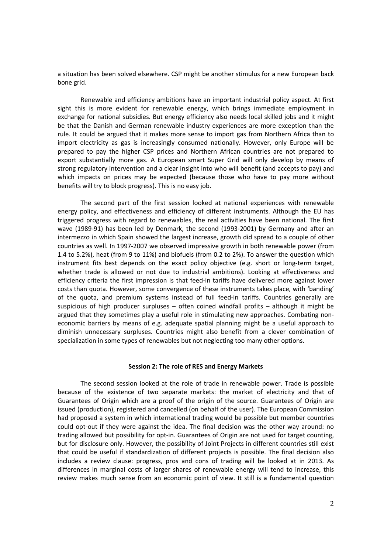a situation has been solved elsewhere. CSP might be another stimulus for a new European back bone grid.

Renewable and efficiency ambitions have an important industrial policy aspect. At first sight this is more evident for renewable energy, which brings immediate employment in exchange for national subsidies. But energy efficiency also needs local skilled jobs and it might be that the Danish and German renewable industry experiences are more exception than the rule. It could be argued that it makes more sense to import gas from Northern Africa than to import electricity as gas is increasingly consumed nationally. However, only Europe will be prepared to pay the higher CSP prices and Northern African countries are not prepared to export substantially more gas. A European smart Super Grid will only develop by means of strong regulatory intervention and a clear insight into who will benefit (and accepts to pay) and which impacts on prices may be expected (because those who have to pay more without benefits will try to block progress). This is no easy job.

The second part of the first session looked at national experiences with renewable energy policy, and effectiveness and efficiency of different instruments. Although the EU has triggered progress with regard to renewables, the real activities have been national. The first wave (1989-91) has been led by Denmark, the second (1993-2001) by Germany and after an intermezzo in which Spain showed the largest increase, growth did spread to a couple of other countries as well. In 1997-2007 we observed impressive growth in both renewable power (from 1.4 to 5.2%), heat (from 9 to 11%) and biofuels (from 0.2 to 2%). To answer the question which instrument fits best depends on the exact policy objective (e.g. short or long-term target, whether trade is allowed or not due to industrial ambitions). Looking at effectiveness and efficiency criteria the first impression is that feed-in tariffs have delivered more against lower costs than quota. However, some convergence of these instruments takes place, with 'banding' of the quota, and premium systems instead of full feed-in tariffs. Countries generally are suspicious of high producer surpluses – often coined windfall profits – although it might be argued that they sometimes play a useful role in stimulating new approaches. Combating noneconomic barriers by means of e.g. adequate spatial planning might be a useful approach to diminish unnecessary surpluses. Countries might also benefit from a clever combination of specialization in some types of renewables but not neglecting too many other options.

#### Session 2: The role of RES and Energy Markets

The second session looked at the role of trade in renewable power. Trade is possible because of the existence of two separate markets: the market of electricity and that of Guarantees of Origin which are a proof of the origin of the source. Guarantees of Origin are issued (production), registered and cancelled (on behalf of the user). The European Commission had proposed a system in which international trading would be possible but member countries could opt-out if they were against the idea. The final decision was the other way around: no trading allowed but possibility for opt-in. Guarantees of Origin are not used for target counting, but for disclosure only. However, the possibility of Joint Projects in different countries still exist that could be useful if standardization of different projects is possible. The final decision also includes a review clause: progress, pros and cons of trading will be looked at in 2013. As differences in marginal costs of larger shares of renewable energy will tend to increase, this review makes much sense from an economic point of view. It still is a fundamental question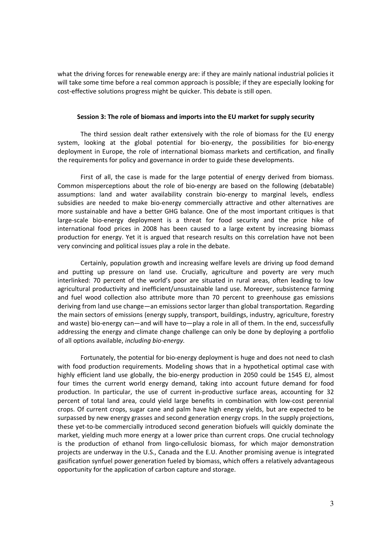what the driving forces for renewable energy are: if they are mainly national industrial policies it will take some time before a real common approach is possible; if they are especially looking for cost-effective solutions progress might be quicker. This debate is still open.

#### Session 3: The role of biomass and imports into the EU market for supply security

The third session dealt rather extensively with the role of biomass for the EU energy system, looking at the global potential for bio-energy, the possibilities for bio-energy deployment in Europe, the role of international biomass markets and certification, and finally the requirements for policy and governance in order to guide these developments.

First of all, the case is made for the large potential of energy derived from biomass. Common misperceptions about the role of bio-energy are based on the following (debatable) assumptions: land and water availability constrain bio-energy to marginal levels, endless subsidies are needed to make bio-energy commercially attractive and other alternatives are more sustainable and have a better GHG balance. One of the most important critiques is that large-scale bio-energy deployment is a threat for food security and the price hike of international food prices in 2008 has been caused to a large extent by increasing biomass production for energy. Yet it is argued that research results on this correlation have not been very convincing and political issues play a role in the debate.

Certainly, population growth and increasing welfare levels are driving up food demand and putting up pressure on land use. Crucially, agriculture and poverty are very much interlinked: 70 percent of the world's poor are situated in rural areas, often leading to low agricultural productivity and inefficient/unsustainable land use. Moreover, subsistence farming and fuel wood collection also attribute more than 70 percent to greenhouse gas emissions deriving from land use change—an emissions sector larger than global transportation. Regarding the main sectors of emissions (energy supply, transport, buildings, industry, agriculture, forestry and waste) bio-energy can—and will have to—play a role in all of them. In the end, successfully addressing the energy and climate change challenge can only be done by deploying a portfolio of all options available, including bio-energy.

Fortunately, the potential for bio-energy deployment is huge and does not need to clash with food production requirements. Modeling shows that in a hypothetical optimal case with highly efficient land use globally, the bio-energy production in 2050 could be 1545 EJ, almost four times the current world energy demand, taking into account future demand for food production. In particular, the use of current in-productive surface areas, accounting for 32 percent of total land area, could yield large benefits in combination with low-cost perennial crops. Of current crops, sugar cane and palm have high energy yields, but are expected to be surpassed by new energy grasses and second generation energy crops. In the supply projections, these yet-to-be commercially introduced second generation biofuels will quickly dominate the market, yielding much more energy at a lower price than current crops. One crucial technology is the production of ethanol from lingo-cellulosic biomass, for which major demonstration projects are underway in the U.S., Canada and the E.U. Another promising avenue is integrated gasification synfuel power generation fueled by biomass, which offers a relatively advantageous opportunity for the application of carbon capture and storage.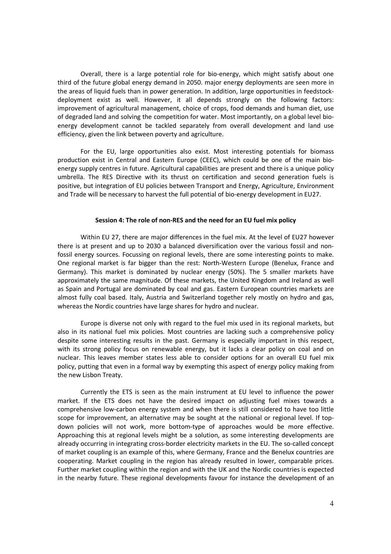Overall, there is a large potential role for bio-energy, which might satisfy about one third of the future global energy demand in 2050. major energy deployments are seen more in the areas of liquid fuels than in power generation. In addition, large opportunities in feedstockdeployment exist as well. However, it all depends strongly on the following factors: improvement of agricultural management, choice of crops, food demands and human diet, use of degraded land and solving the competition for water. Most importantly, on a global level bioenergy development cannot be tackled separately from overall development and land use efficiency, given the link between poverty and agriculture.

For the EU, large opportunities also exist. Most interesting potentials for biomass production exist in Central and Eastern Europe (CEEC), which could be one of the main bioenergy supply centres in future. Agricultural capabilities are present and there is a unique policy umbrella. The RES Directive with its thrust on certification and second generation fuels is positive, but integration of EU policies between Transport and Energy, Agriculture, Environment and Trade will be necessary to harvest the full potential of bio-energy development in EU27.

#### Session 4: The role of non-RES and the need for an EU fuel mix policy

Within EU 27, there are major differences in the fuel mix. At the level of EU27 however there is at present and up to 2030 a balanced diversification over the various fossil and nonfossil energy sources. Focussing on regional levels, there are some interesting points to make. One regional market is far bigger than the rest: North-Western Europe (Benelux, France and Germany). This market is dominated by nuclear energy (50%). The 5 smaller markets have approximately the same magnitude. Of these markets, the United Kingdom and Ireland as well as Spain and Portugal are dominated by coal and gas. Eastern European countries markets are almost fully coal based. Italy, Austria and Switzerland together rely mostly on hydro and gas, whereas the Nordic countries have large shares for hydro and nuclear.

Europe is diverse not only with regard to the fuel mix used in its regional markets, but also in its national fuel mix policies. Most countries are lacking such a comprehensive policy despite some interesting results in the past. Germany is especially important in this respect, with its strong policy focus on renewable energy, but it lacks a clear policy on coal and on nuclear. This leaves member states less able to consider options for an overall EU fuel mix policy, putting that even in a formal way by exempting this aspect of energy policy making from the new Lisbon Treaty.

Currently the ETS is seen as the main instrument at EU level to influence the power market. If the ETS does not have the desired impact on adjusting fuel mixes towards a comprehensive low-carbon energy system and when there is still considered to have too little scope for improvement, an alternative may be sought at the national or regional level. If topdown policies will not work, more bottom-type of approaches would be more effective. Approaching this at regional levels might be a solution, as some interesting developments are already occurring in integrating cross-border electricity markets in the EU. The so-called concept of market coupling is an example of this, where Germany, France and the Benelux countries are cooperating. Market coupling in the region has already resulted in lower, comparable prices. Further market coupling within the region and with the UK and the Nordic countries is expected in the nearby future. These regional developments favour for instance the development of an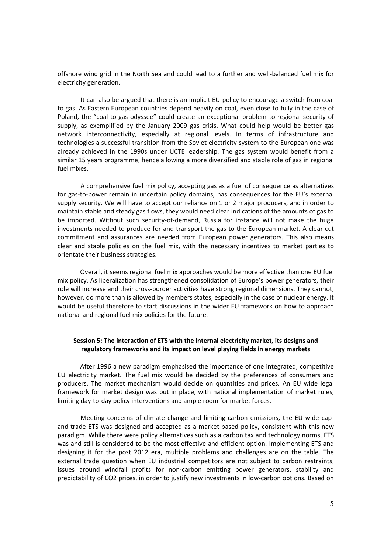offshore wind grid in the North Sea and could lead to a further and well-balanced fuel mix for electricity generation.

It can also be argued that there is an implicit EU-policy to encourage a switch from coal to gas. As Eastern European countries depend heavily on coal, even close to fully in the case of Poland, the "coal-to-gas odyssee" could create an exceptional problem to regional security of supply, as exemplified by the January 2009 gas crisis. What could help would be better gas network interconnectivity, especially at regional levels. In terms of infrastructure and technologies a successful transition from the Soviet electricity system to the European one was already achieved in the 1990s under UCTE leadership. The gas system would benefit from a similar 15 years programme, hence allowing a more diversified and stable role of gas in regional fuel mixes.

A comprehensive fuel mix policy, accepting gas as a fuel of consequence as alternatives for gas-to-power remain in uncertain policy domains, has consequences for the EU's external supply security. We will have to accept our reliance on 1 or 2 major producers, and in order to maintain stable and steady gas flows, they would need clear indications of the amounts of gas to be imported. Without such security-of-demand, Russia for instance will not make the huge investments needed to produce for and transport the gas to the European market. A clear cut commitment and assurances are needed from European power generators. This also means clear and stable policies on the fuel mix, with the necessary incentives to market parties to orientate their business strategies.

Overall, it seems regional fuel mix approaches would be more effective than one EU fuel mix policy. As liberalization has strengthened consolidation of Europe's power generators, their role will increase and their cross-border activities have strong regional dimensions. They cannot, however, do more than is allowed by members states, especially in the case of nuclear energy. It would be useful therefore to start discussions in the wider EU framework on how to approach national and regional fuel mix policies for the future.

## Session 5: The interaction of ETS with the internal electricity market, its designs and regulatory frameworks and its impact on level playing fields in energy markets

After 1996 a new paradigm emphasised the importance of one integrated, competitive EU electricity market. The fuel mix would be decided by the preferences of consumers and producers. The market mechanism would decide on quantities and prices. An EU wide legal framework for market design was put in place, with national implementation of market rules, limiting day-to-day policy interventions and ample room for market forces.

Meeting concerns of climate change and limiting carbon emissions, the EU wide capand-trade ETS was designed and accepted as a market-based policy, consistent with this new paradigm. While there were policy alternatives such as a carbon tax and technology norms, ETS was and still is considered to be the most effective and efficient option. Implementing ETS and designing it for the post 2012 era, multiple problems and challenges are on the table. The external trade question when EU industrial competitors are not subject to carbon restraints, issues around windfall profits for non-carbon emitting power generators, stability and predictability of CO2 prices, in order to justify new investments in low-carbon options. Based on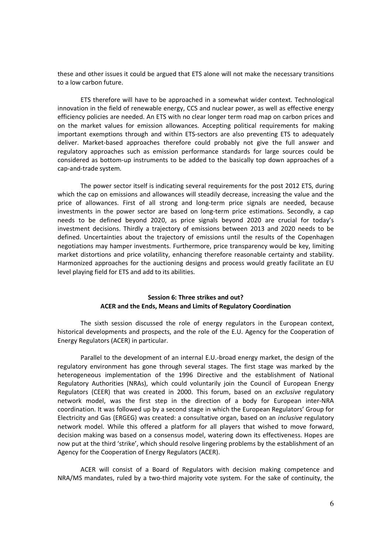these and other issues it could be argued that ETS alone will not make the necessary transitions to a low carbon future.

ETS therefore will have to be approached in a somewhat wider context. Technological innovation in the field of renewable energy, CCS and nuclear power, as well as effective energy efficiency policies are needed. An ETS with no clear longer term road map on carbon prices and on the market values for emission allowances. Accepting political requirements for making important exemptions through and within ETS-sectors are also preventing ETS to adequately deliver. Market-based approaches therefore could probably not give the full answer and regulatory approaches such as emission performance standards for large sources could be considered as bottom-up instruments to be added to the basically top down approaches of a cap-and-trade system.

The power sector itself is indicating several requirements for the post 2012 ETS, during which the cap on emissions and allowances will steadily decrease, increasing the value and the price of allowances. First of all strong and long-term price signals are needed, because investments in the power sector are based on long-term price estimations. Secondly, a cap needs to be defined beyond 2020, as price signals beyond 2020 are crucial for today's investment decisions. Thirdly a trajectory of emissions between 2013 and 2020 needs to be defined. Uncertainties about the trajectory of emissions until the results of the Copenhagen negotiations may hamper investments. Furthermore, price transparency would be key, limiting market distortions and price volatility, enhancing therefore reasonable certainty and stability. Harmonized approaches for the auctioning designs and process would greatly facilitate an EU level playing field for ETS and add to its abilities.

## Session 6: Three strikes and out? ACER and the Ends, Means and Limits of Regulatory Coordination

The sixth session discussed the role of energy regulators in the European context, historical developments and prospects, and the role of the E.U. Agency for the Cooperation of Energy Regulators (ACER) in particular.

Parallel to the development of an internal E.U.-broad energy market, the design of the regulatory environment has gone through several stages. The first stage was marked by the heterogeneous implementation of the 1996 Directive and the establishment of National Regulatory Authorities (NRAs), which could voluntarily join the Council of European Energy Regulators (CEER) that was created in 2000. This forum, based on an exclusive regulatory network model, was the first step in the direction of a body for European inter-NRA coordination. It was followed up by a second stage in which the European Regulators' Group for Electricity and Gas (ERGEG) was created: a consultative organ, based on an inclusive regulatory network model. While this offered a platform for all players that wished to move forward, decision making was based on a consensus model, watering down its effectiveness. Hopes are now put at the third 'strike', which should resolve lingering problems by the establishment of an Agency for the Cooperation of Energy Regulators (ACER).

ACER will consist of a Board of Regulators with decision making competence and NRA/MS mandates, ruled by a two-third majority vote system. For the sake of continuity, the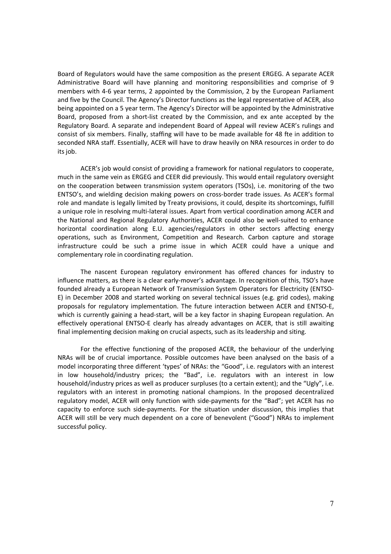Board of Regulators would have the same composition as the present ERGEG. A separate ACER Administrative Board will have planning and monitoring responsibilities and comprise of 9 members with 4-6 year terms, 2 appointed by the Commission, 2 by the European Parliament and five by the Council. The Agency's Director functions as the legal representative of ACER, also being appointed on a 5 year term. The Agency's Director will be appointed by the Administrative Board, proposed from a short-list created by the Commission, and ex ante accepted by the Regulatory Board. A separate and independent Board of Appeal will review ACER's rulings and consist of six members. Finally, staffing will have to be made available for 48 fte in addition to seconded NRA staff. Essentially, ACER will have to draw heavily on NRA resources in order to do its job.

ACER's job would consist of providing a framework for national regulators to cooperate, much in the same vein as ERGEG and CEER did previously. This would entail regulatory oversight on the cooperation between transmission system operators (TSOs), i.e. monitoring of the two ENTSO's, and wielding decision making powers on cross-border trade issues. As ACER's formal role and mandate is legally limited by Treaty provisions, it could, despite its shortcomings, fulfill a unique role in resolving multi-lateral issues. Apart from vertical coordination among ACER and the National and Regional Regulatory Authorities, ACER could also be well-suited to enhance horizontal coordination along E.U. agencies/regulators in other sectors affecting energy operations, such as Environment, Competition and Research. Carbon capture and storage infrastructure could be such a prime issue in which ACER could have a unique and complementary role in coordinating regulation.

The nascent European regulatory environment has offered chances for industry to influence matters, as there is a clear early-mover's advantage. In recognition of this, TSO's have founded already a European Network of Transmission System Operators for Electricity (ENTSO-E) in December 2008 and started working on several technical issues (e.g. grid codes), making proposals for regulatory implementation. The future interaction between ACER and ENTSO-E, which is currently gaining a head-start, will be a key factor in shaping European regulation. An effectively operational ENTSO-E clearly has already advantages on ACER, that is still awaiting final implementing decision making on crucial aspects, such as its leadership and siting.

For the effective functioning of the proposed ACER, the behaviour of the underlying NRAs will be of crucial importance. Possible outcomes have been analysed on the basis of a model incorporating three different 'types' of NRAs: the "Good", i.e. regulators with an interest in low household/industry prices; the "Bad", i.e. regulators with an interest in low household/industry prices as well as producer surpluses (to a certain extent); and the "Ugly", i.e. regulators with an interest in promoting national champions. In the proposed decentralized regulatory model, ACER will only function with side-payments for the "Bad"; yet ACER has no capacity to enforce such side-payments. For the situation under discussion, this implies that ACER will still be very much dependent on a core of benevolent ("Good") NRAs to implement successful policy.